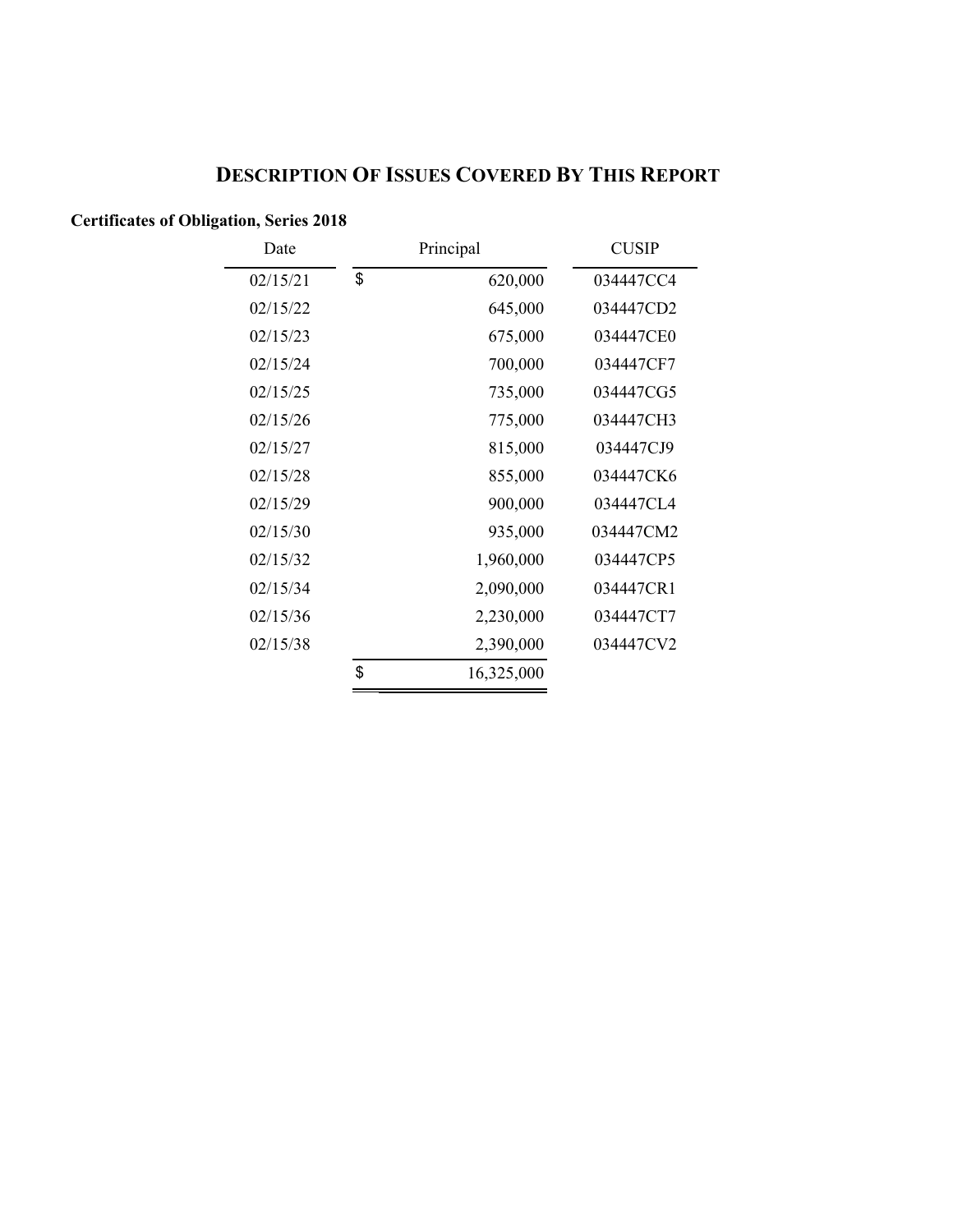# **DESCRIPTION OF ISSUES COVERED BY THIS REPORT**

## **Certificates of Obligation, Series 2018**

| Date     | Principal        | <b>CUSIP</b> |
|----------|------------------|--------------|
| 02/15/21 | \$<br>620,000    | 034447CC4    |
| 02/15/22 | 645,000          | 034447CD2    |
| 02/15/23 | 675,000          | 034447CE0    |
| 02/15/24 | 700,000          | 034447CF7    |
| 02/15/25 | 735,000          | 034447CG5    |
| 02/15/26 | 775,000          | 034447CH3    |
| 02/15/27 | 815,000          | 034447CJ9    |
| 02/15/28 | 855,000          | 034447CK6    |
| 02/15/29 | 900,000          | 034447CL4    |
| 02/15/30 | 935,000          | 034447CM2    |
| 02/15/32 | 1,960,000        | 034447CP5    |
| 02/15/34 | 2,090,000        | 034447CR1    |
| 02/15/36 | 2,230,000        | 034447CT7    |
| 02/15/38 | 2,390,000        | 034447CV2    |
|          | \$<br>16,325,000 |              |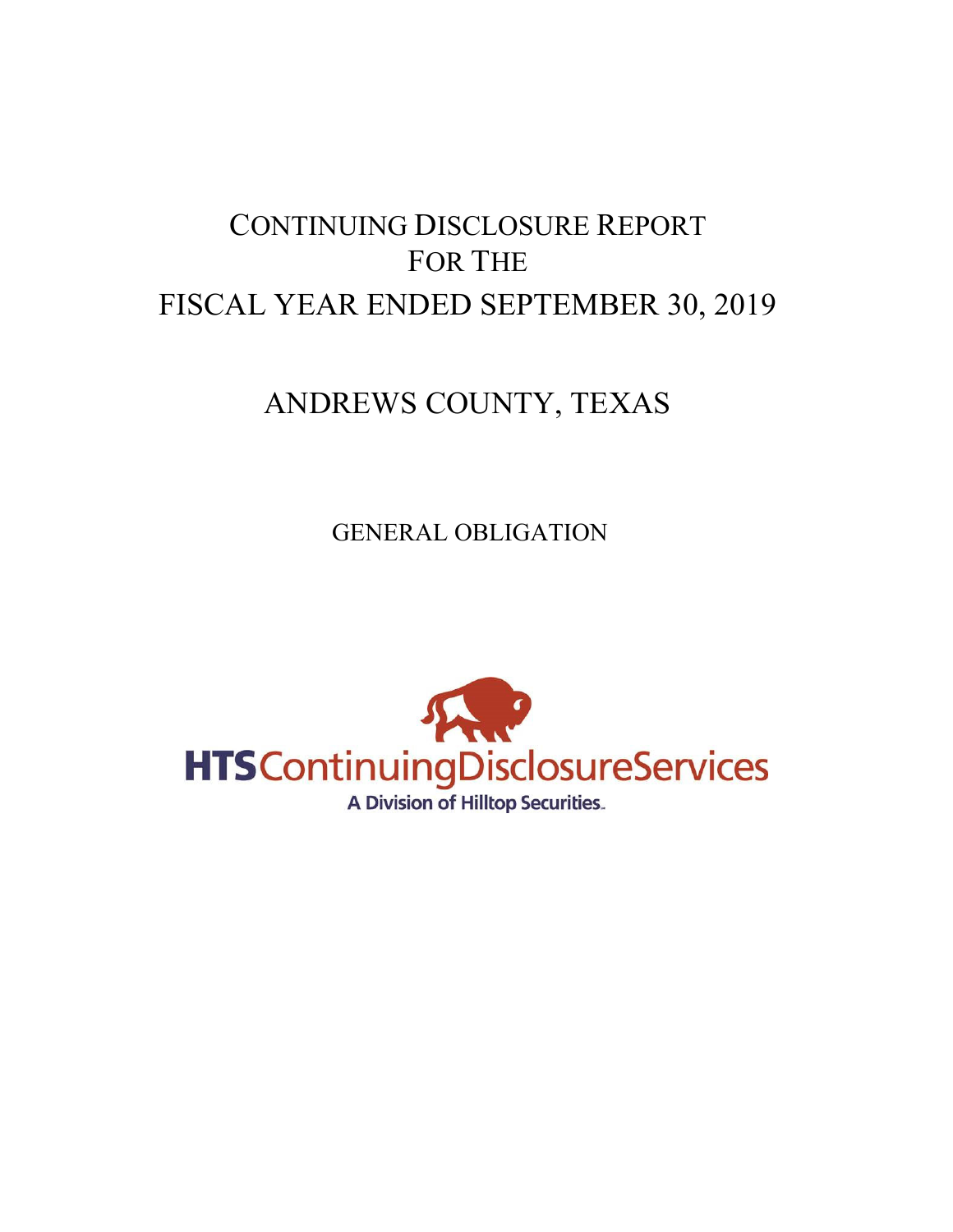# CONTINUING DISCLOSURE REPORT FOR THE FISCAL YEAR ENDED SEPTEMBER 30, 2019

# ANDREWS COUNTY, TEXAS

GENERAL OBLIGATION

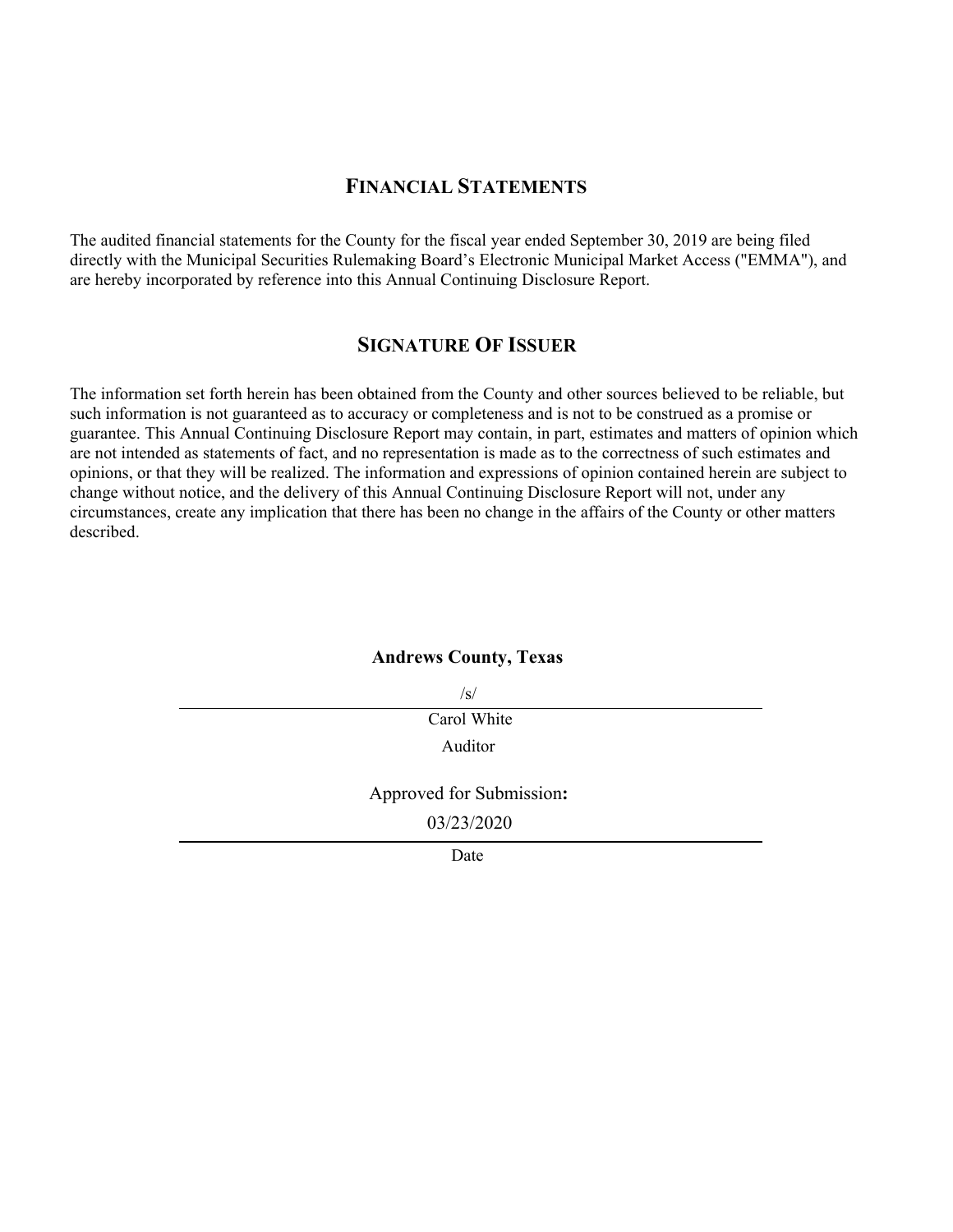#### **FINANCIAL STATEMENTS**

The audited financial statements for the County for the fiscal year ended September 30, 2019 are being filed directly with the Municipal Securities Rulemaking Board's Electronic Municipal Market Access ("EMMA"), and are hereby incorporated by reference into this Annual Continuing Disclosure Report.

#### **SIGNATURE OF ISSUER**

The information set forth herein has been obtained from the County and other sources believed to be reliable, but such information is not guaranteed as to accuracy or completeness and is not to be construed as a promise or guarantee. This Annual Continuing Disclosure Report may contain, in part, estimates and matters of opinion which are not intended as statements of fact, and no representation is made as to the correctness of such estimates and opinions, or that they will be realized. The information and expressions of opinion contained herein are subject to change without notice, and the delivery of this Annual Continuing Disclosure Report will not, under any circumstances, create any implication that there has been no change in the affairs of the County or other matters described.

#### **Andrews County, Texas**

/s/

Carol White Auditor

Approved for Submission**:**

03/23/2020

Date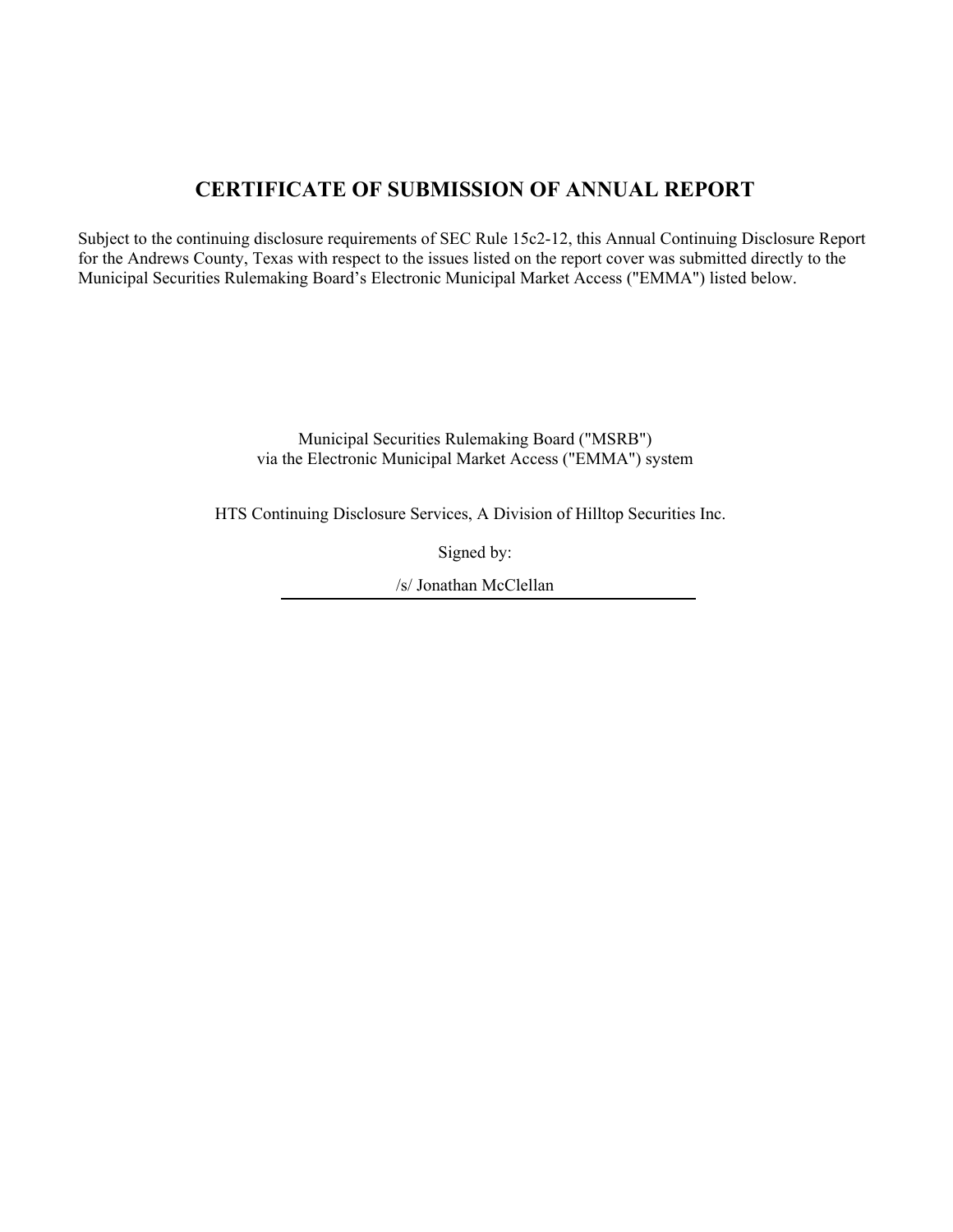# **CERTIFICATE OF SUBMISSION OF ANNUAL REPORT**

Subject to the continuing disclosure requirements of SEC Rule 15c2-12, this Annual Continuing Disclosure Report for the Andrews County, Texas with respect to the issues listed on the report cover was submitted directly to the Municipal Securities Rulemaking Board's Electronic Municipal Market Access ("EMMA") listed below.

> Municipal Securities Rulemaking Board ("MSRB") via the Electronic Municipal Market Access ("EMMA") system

HTS Continuing Disclosure Services, A Division of Hilltop Securities Inc.

Signed by:

/s/ Jonathan McClellan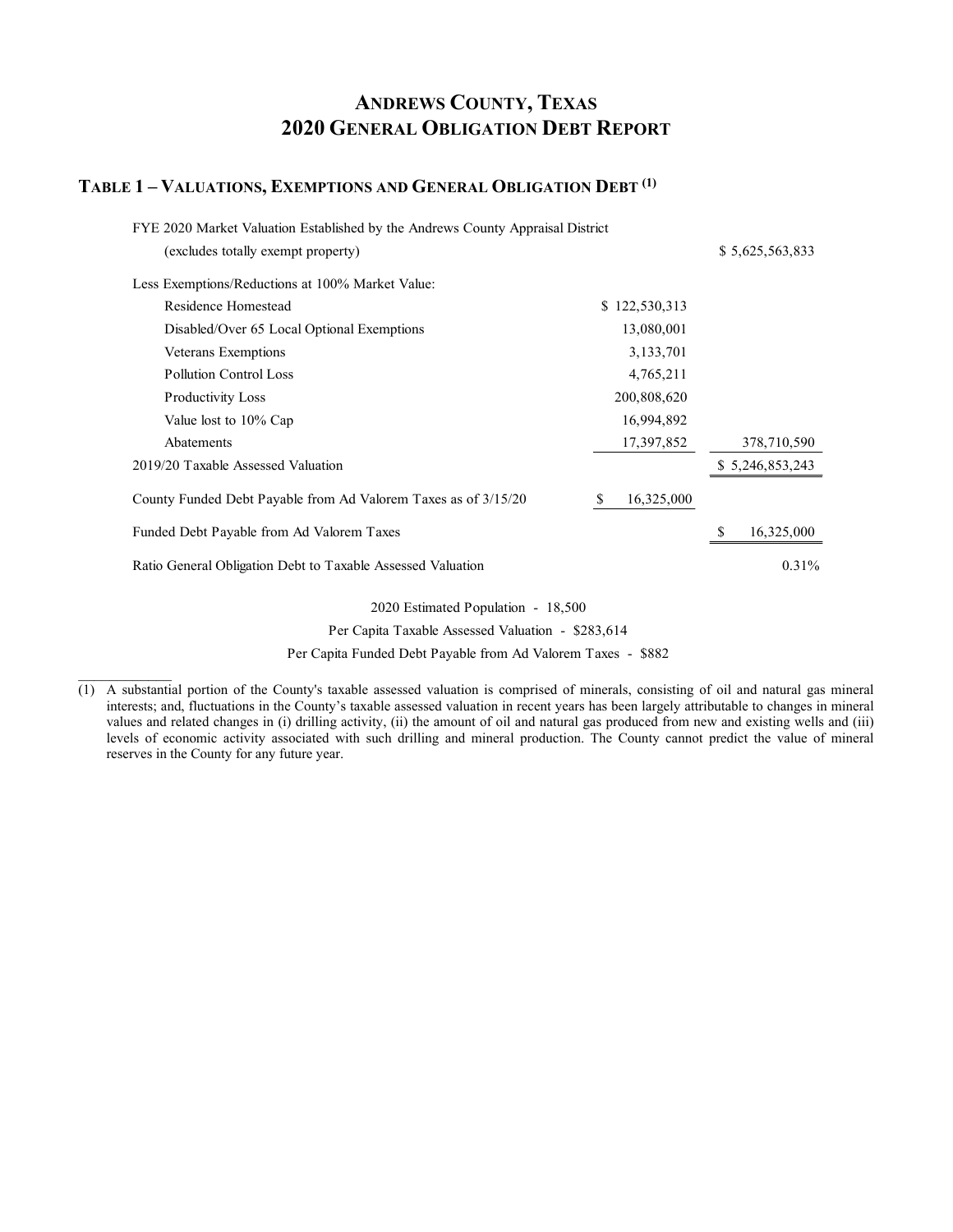# **ANDREWS COUNTY, TEXAS 2020 GENERAL OBLIGATION DEBT REPORT**

#### **TABLE 1 – VALUATIONS, EXEMPTIONS AND GENERAL OBLIGATION DEBT (1)**

 $\mathcal{L}=\mathcal{L}^{\mathcal{L}}$ 

| FYE 2020 Market Valuation Established by the Andrews County Appraisal District |                 |                 |
|--------------------------------------------------------------------------------|-----------------|-----------------|
| (excludes totally exempt property)                                             |                 | \$5,625,563,833 |
| Less Exemptions/Reductions at 100% Market Value:                               |                 |                 |
| Residence Homestead                                                            | \$122,530,313   |                 |
| Disabled/Over 65 Local Optional Exemptions                                     | 13,080,001      |                 |
| Veterans Exemptions                                                            | 3,133,701       |                 |
| <b>Pollution Control Loss</b>                                                  | 4,765,211       |                 |
| <b>Productivity Loss</b>                                                       | 200,808,620     |                 |
| Value lost to 10% Cap                                                          | 16,994,892      |                 |
| Abatements                                                                     | 17,397,852      | 378,710,590     |
| 2019/20 Taxable Assessed Valuation                                             |                 | \$5,246,853,243 |
| County Funded Debt Payable from Ad Valorem Taxes as of 3/15/20                 | 16,325,000<br>S |                 |
| Funded Debt Payable from Ad Valorem Taxes                                      |                 | 16,325,000<br>S |
| Ratio General Obligation Debt to Taxable Assessed Valuation                    |                 | 0.31%           |
|                                                                                |                 |                 |

 2020 Estimated Population - 18,500 Per Capita Taxable Assessed Valuation - \$283,614

Per Capita Funded Debt Payable from Ad Valorem Taxes - \$882

 $(1)$  A substantial portion of the County's taxable assessed valuation is comprised of minerals, consisting of oil and natural gas mineral interests; and, fluctuations in the County's taxable assessed valuation in recent years has been largely attributable to changes in mineral values and related changes in (i) drilling activity, (ii) the amount of oil and natural gas produced from new and existing wells and (iii) levels of economic activity associated with such drilling and mineral production. The County cannot predict the value of mineral reserves in the County for any future year.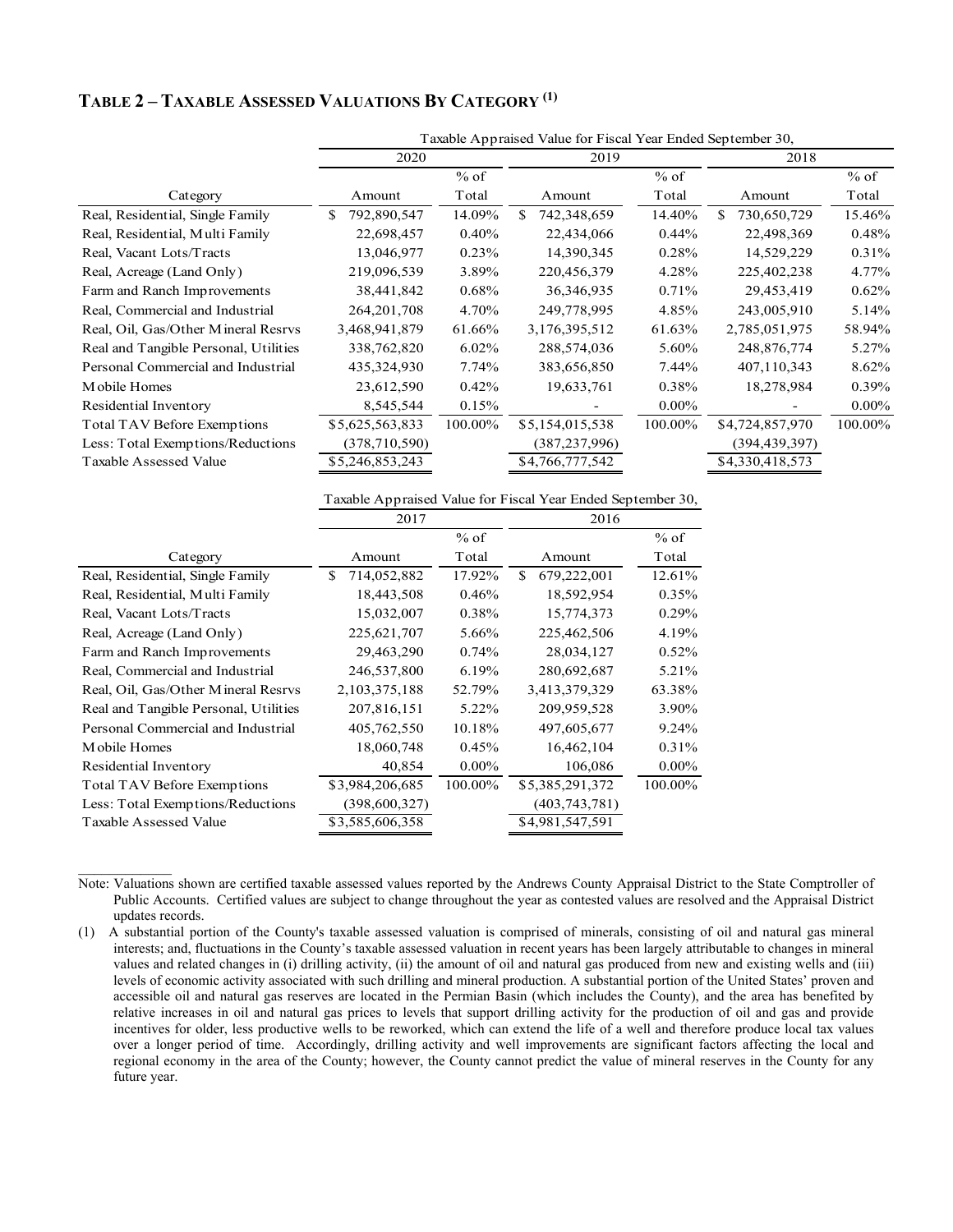#### **TABLE 2 – TAXABLE ASSESSED VALUATIONS BY CATEGORY (1)**

| 2020             |          | 2019               |          | 2018              |                                                             |  |
|------------------|----------|--------------------|----------|-------------------|-------------------------------------------------------------|--|
|                  | $%$ of   |                    | $%$ of   |                   | $%$ of                                                      |  |
| Amount           | Total    | Amount             | Total    | Amount            | Total                                                       |  |
| 792,890,547<br>S | 14.09%   | 742,348,659<br>\$. | 14.40%   | 730,650,729<br>S. | 15.46%                                                      |  |
| 22,698,457       | $0.40\%$ | 22,434,066         | 0.44%    | 22,498,369        | 0.48%                                                       |  |
| 13,046,977       | 0.23%    | 14,390,345         | 0.28%    | 14,529,229        | 0.31%                                                       |  |
| 219,096,539      | 3.89%    | 220,456,379        | 4.28%    | 225,402,238       | 4.77%                                                       |  |
| 38,441,842       | $0.68\%$ | 36,346,935         | 0.71%    | 29,453,419        | 0.62%                                                       |  |
| 264, 201, 708    | 4.70%    | 249,778,995        | 4.85%    | 243,005,910       | 5.14%                                                       |  |
| 3,468,941,879    | 61.66%   | 3,176,395,512      | 61.63%   | 2,785,051,975     | 58.94%                                                      |  |
| 338,762,820      | $6.02\%$ | 288,574,036        | 5.60%    | 248,876,774       | 5.27%                                                       |  |
| 435,324,930      | $7.74\%$ | 383,656,850        | 7.44%    | 407,110,343       | 8.62%                                                       |  |
| 23,612,590       | 0.42%    | 19,633,761         | 0.38%    | 18,278,984        | 0.39%                                                       |  |
| 8,545,544        | 0.15%    |                    | $0.00\%$ |                   | $0.00\%$                                                    |  |
| \$5,625,563,833  | 100.00%  | \$5,154,015,538    | 100.00%  | \$4,724,857,970   | 100.00%                                                     |  |
| (378, 710, 590)  |          | (387,237,996)      |          | (394,439,397)     |                                                             |  |
| \$5,246,853,243  |          | \$4,766,777,542    |          | \$4,330,418,573   |                                                             |  |
|                  |          |                    |          |                   | Taxable Appraised Value for Fiscal Year Ended September 30, |  |

Taxable Appraised Value for Fiscal Year Ended September 30,

|                                       | 2017              |          | 2016             |          |
|---------------------------------------|-------------------|----------|------------------|----------|
|                                       |                   | $%$ of   |                  | $%$ of   |
| Category                              | Amount            | Total    | Amount           | Total    |
| Real, Residential, Single Family      | \$<br>714,052,882 | 17.92%   | 679,222,001<br>S | 12.61%   |
| Real, Residential, Multi Family       | 18,443,508        | 0.46%    | 18,592,954       | 0.35%    |
| Real, Vacant Lots/Tracts              | 15,032,007        | 0.38%    | 15,774,373       | 0.29%    |
| Real, Acreage (Land Only)             | 225,621,707       | 5.66%    | 225,462,506      | 4.19%    |
| Farm and Ranch Improvements           | 29,463,290        | 0.74%    | 28,034,127       | 0.52%    |
| Real, Commercial and Industrial       | 246,537,800       | 6.19%    | 280,692,687      | 5.21%    |
| Real, Oil, Gas/Other Mineral Resrvs   | 2,103,375,188     | 52.79%   | 3,413,379,329    | 63.38%   |
| Real and Tangible Personal, Utilities | 207,816,151       | 5.22%    | 209,959,528      | 3.90%    |
| Personal Commercial and Industrial    | 405,762,550       | 10.18%   | 497,605,677      | 9.24%    |
| Mobile Homes                          | 18,060,748        | 0.45%    | 16,462,104       | 0.31%    |
| Residential Inventory                 | 40,854            | $0.00\%$ | 106,086          | $0.00\%$ |
| <b>Total TAV Before Exemptions</b>    | \$3,984,206,685   | 100.00%  | \$5,385,291,372  | 100.00%  |
| Less: Total Exemptions/Reductions     | (398, 600, 327)   |          | (403, 743, 781)  |          |
| Taxable Assessed Value                | \$3,585,606,358   |          | \$4,981,547,591  |          |

 $\mathcal{L}=\mathcal{L}^{\mathcal{L}}$ 

Note: Valuations shown are certified taxable assessed values reported by the Andrews County Appraisal District to the State Comptroller of Public Accounts. Certified values are subject to change throughout the year as contested values are resolved and the Appraisal District updates records.

(1) A substantial portion of the County's taxable assessed valuation is comprised of minerals, consisting of oil and natural gas mineral interests; and, fluctuations in the County's taxable assessed valuation in recent years has been largely attributable to changes in mineral values and related changes in (i) drilling activity, (ii) the amount of oil and natural gas produced from new and existing wells and (iii) levels of economic activity associated with such drilling and mineral production. A substantial portion of the United States' proven and accessible oil and natural gas reserves are located in the Permian Basin (which includes the County), and the area has benefited by relative increases in oil and natural gas prices to levels that support drilling activity for the production of oil and gas and provide incentives for older, less productive wells to be reworked, which can extend the life of a well and therefore produce local tax values over a longer period of time. Accordingly, drilling activity and well improvements are significant factors affecting the local and regional economy in the area of the County; however, the County cannot predict the value of mineral reserves in the County for any future year.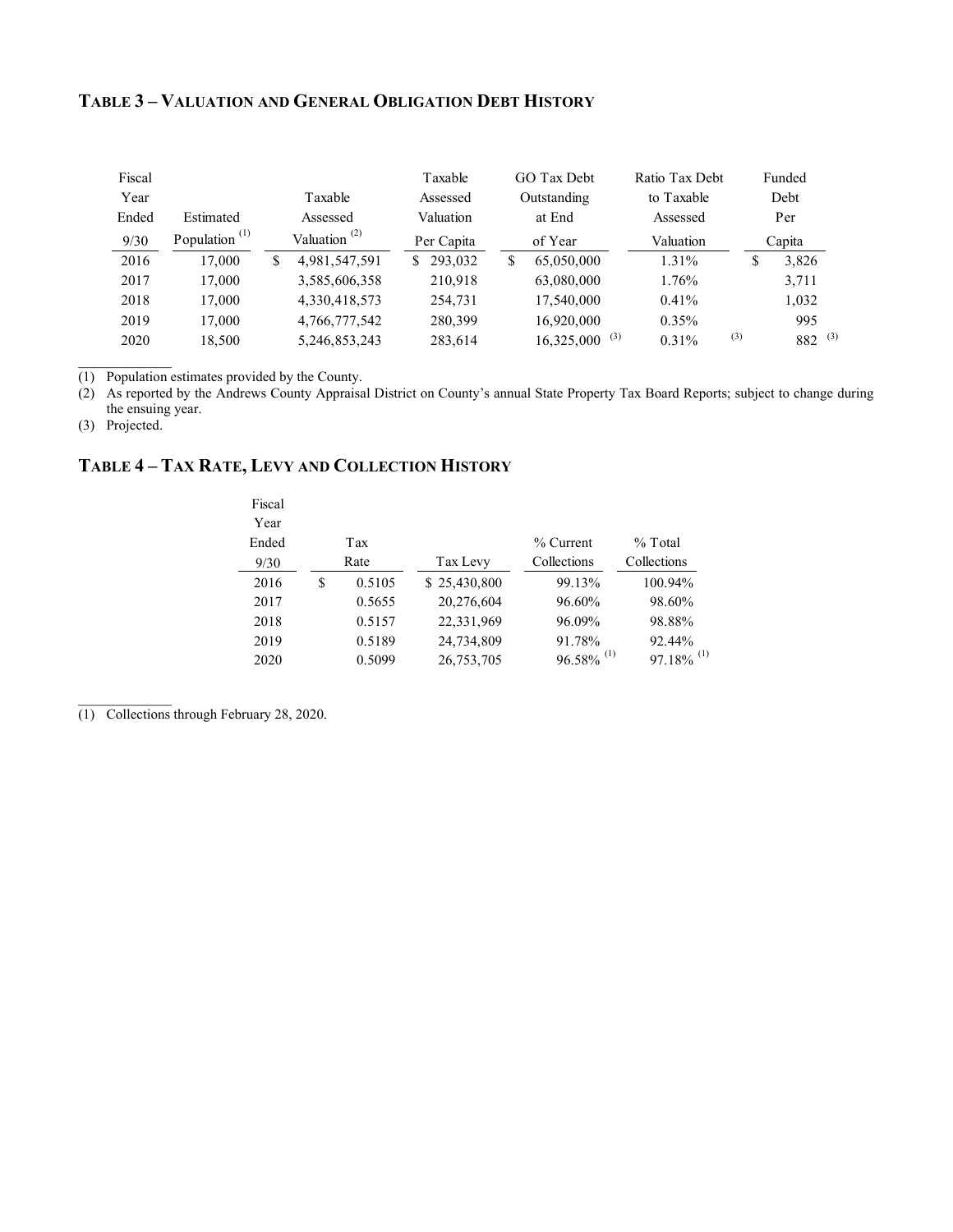#### **TABLE 3 – VALUATION AND GENERAL OBLIGATION DEBT HISTORY**

| Fiscal |                           |                                       | Taxable       | GO Tax Debt                 | Ratio Tax Debt |     | Funded      |  |
|--------|---------------------------|---------------------------------------|---------------|-----------------------------|----------------|-----|-------------|--|
| Year   |                           | Taxable                               | Assessed      | Outstanding                 | to Taxable     |     | Debt        |  |
| Ended  | Estimated                 | Assessed                              | Valuation     | at End                      | Assessed       |     | Per         |  |
| 9/30   | Population <sup>(1)</sup> | Valuation <sup><math>(2)</math></sup> | Per Capita    | of Year                     | Valuation      |     | Capita      |  |
| 2016   | 17,000                    | \$<br>4,981,547,591                   | \$<br>293,032 | \$<br>65,050,000            | 1.31%          |     | \$<br>3,826 |  |
| 2017   | 17,000                    | 3,585,606,358                         | 210.918       | 63,080,000                  | 1.76%          |     | 3,711       |  |
| 2018   | 17,000                    | 4,330,418,573                         | 254.731       | 17,540,000                  | $0.41\%$       |     | 1,032       |  |
| 2019   | 17,000                    | 4,766,777,542                         | 280,399       | 16,920,000                  | $0.35\%$       |     | 995         |  |
| 2020   | 18.500                    | 5,246,853,243                         | 283,614       | $16,325,000$ <sup>(3)</sup> | 0.31%          | (3) | $882^{(3)}$ |  |

(1) Population estimates provided by the County.

(2) As reported by the Andrews County Appraisal District on County's annual State Property Tax Board Reports; subject to change during the ensuing year.

(3) Projected.

 $\mathcal{L}=\mathcal{L}^{\mathcal{L}}$ 

 $\mathcal{L}=\mathcal{L}^{\mathcal{L}}$ 

## **TABLE 4 – TAX RATE, LEVY AND COLLECTION HISTORY**

| Fiscal |   |        |              |                          |                          |
|--------|---|--------|--------------|--------------------------|--------------------------|
| Year   |   |        |              |                          |                          |
| Ended  |   | Tax    |              | $%$ Current              | $%$ Total                |
| 9/30   |   | Rate   | Tax Levy     | Collections              | Collections              |
| 2016   | S | 0.5105 | \$25,430,800 | 99.13%                   | 100.94%                  |
| 2017   |   | 0.5655 | 20,276,604   | 96.60%                   | 98.60%                   |
| 2018   |   | 0.5157 | 22,331,969   | 96.09%                   | 98.88%                   |
| 2019   |   | 0.5189 | 24,734,809   | 91.78%                   | 92.44%                   |
| 2020   |   | 0.5099 | 26,753,705   | $96.58\%$ <sup>(1)</sup> | $97.18\%$ <sup>(1)</sup> |
|        |   |        |              |                          |                          |

(1) Collections through February 28, 2020.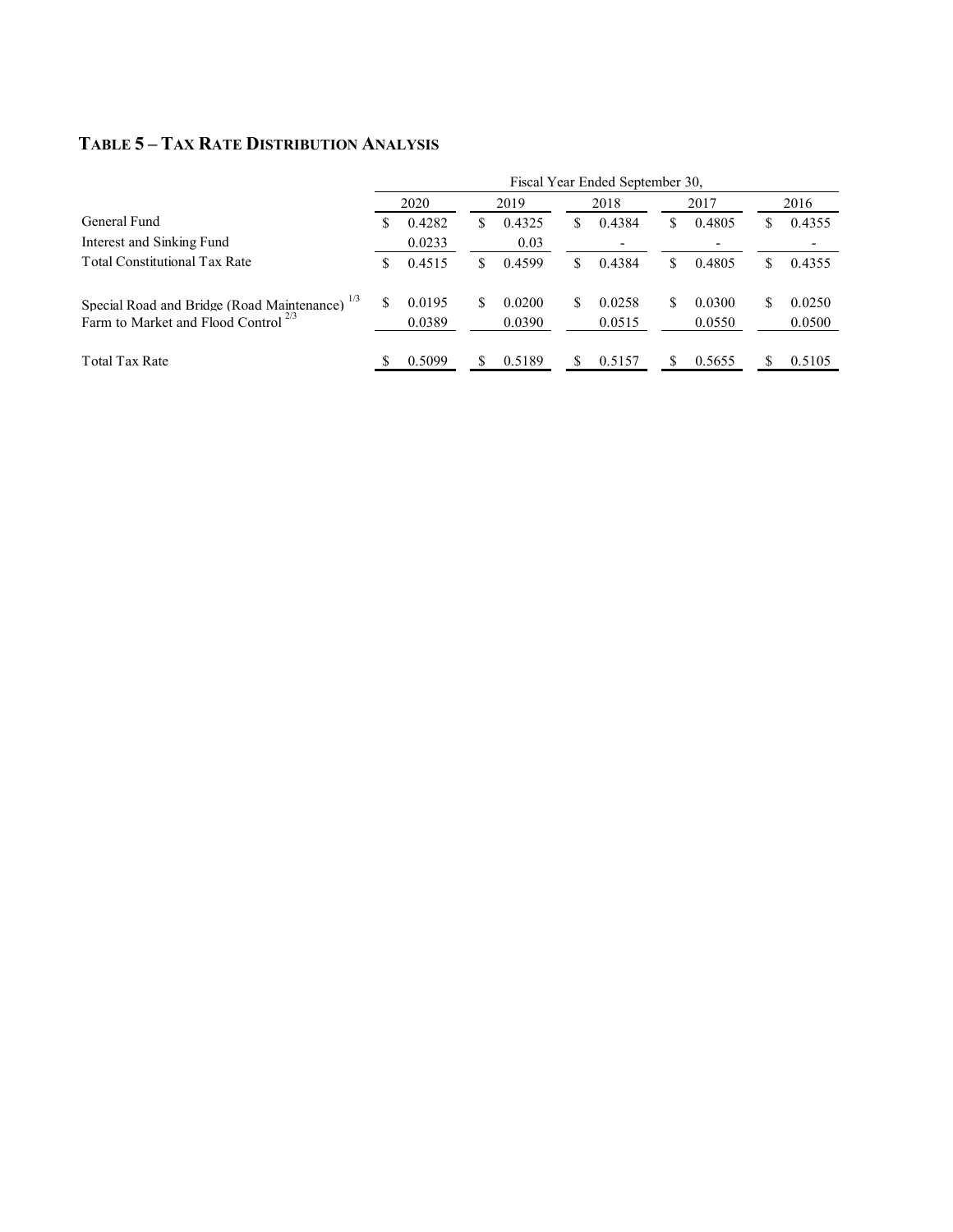## **TABLE 5 – TAX RATE DISTRIBUTION ANALYSIS**

|                                                                                                                           | Fiscal Year Ended September 30, |        |  |        |    |        |    |        |  |        |
|---------------------------------------------------------------------------------------------------------------------------|---------------------------------|--------|--|--------|----|--------|----|--------|--|--------|
|                                                                                                                           |                                 | 2020   |  | 2019   |    | 2018   |    | 2017   |  | 2016   |
| General Fund                                                                                                              | S                               | 0.4282 |  | 0.4325 | S  | 0.4384 | S. | 0.4805 |  | 0.4355 |
| Interest and Sinking Fund                                                                                                 |                                 | 0.0233 |  | 0.03   |    |        |    |        |  |        |
| <b>Total Constitutional Tax Rate</b>                                                                                      | S                               | 0.4515 |  | 0.4599 | S. | 0.4384 | S. | 0.4805 |  | 0.4355 |
| Special Road and Bridge (Road Maintenance) <sup>1/3</sup><br>Farm to Market and Flood Control <sup><math>2/3</math></sup> |                                 | 0.0195 |  | 0.0200 | S  | 0.0258 | S. | 0.0300 |  | 0.0250 |
|                                                                                                                           |                                 | 0.0389 |  | 0.0390 |    | 0.0515 |    | 0.0550 |  | 0.0500 |
| Total Tax Rate                                                                                                            |                                 | 0.5099 |  | 0.5189 |    | 0.5157 |    | 0.5655 |  | 0.5105 |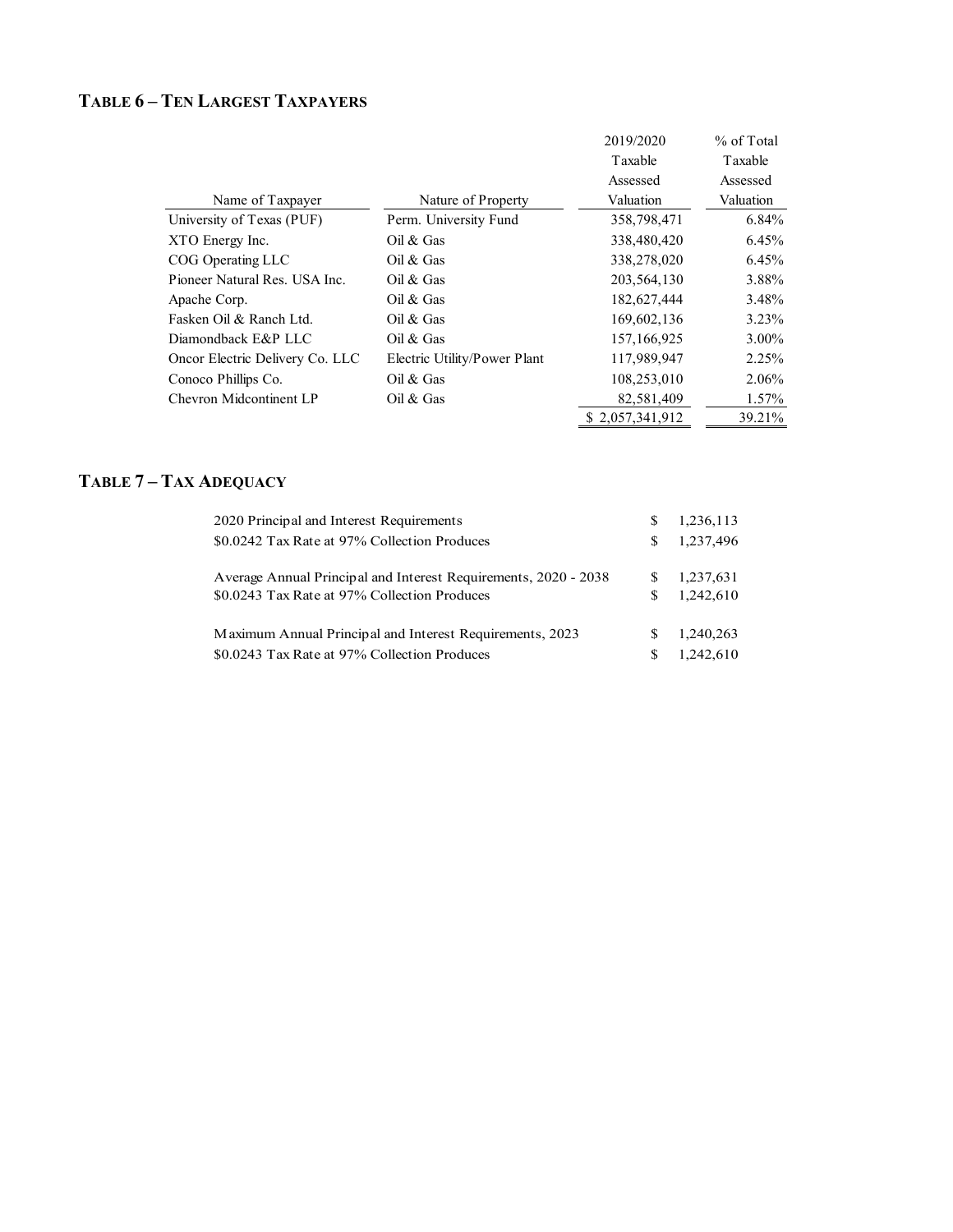# **TABLE 6 – TEN LARGEST TAXPAYERS**

|                                 |                              | 2019/2020       | % of Total |
|---------------------------------|------------------------------|-----------------|------------|
|                                 |                              | Taxable         | Taxable    |
|                                 |                              | Assessed        | Assessed   |
| Name of Taxpayer                | Nature of Property           | Valuation       | Valuation  |
| University of Texas (PUF)       | Perm. University Fund        | 358,798,471     | 6.84%      |
| XTO Energy Inc.                 | Oil & Gas                    | 338,480,420     | 6.45%      |
| COG Operating LLC               | Oil & Gas                    | 338,278,020     | 6.45%      |
| Pioneer Natural Res. USA Inc.   | Oil & Gas                    | 203, 564, 130   | 3.88%      |
| Apache Corp.                    | Oil & Gas                    | 182,627,444     | 3.48%      |
| Fasken Oil & Ranch Ltd.         | Oil $&$ Gas                  | 169,602,136     | 3.23%      |
| Diamondback E&P LLC             | Oil & Gas                    | 157, 166, 925   | $3.00\%$   |
| Oncor Electric Delivery Co. LLC | Electric Utility/Power Plant | 117,989,947     | 2.25%      |
| Conoco Phillips Co.             | Oil & Gas                    | 108,253,010     | $2.06\%$   |
| Chevron Midcontinent LP         | Oil & Gas                    | 82,581,409      | $1.57\%$   |
|                                 |                              | \$2,057,341,912 | 39.21%     |
|                                 |                              |                 |            |

## **TABLE 7 – TAX ADEQUACY**

| 2020 Principal and Interest Requirements                        | S  | 1,236,113 |
|-----------------------------------------------------------------|----|-----------|
| \$0.0242 Tax Rate at 97% Collection Produces                    | S  | 1,237,496 |
|                                                                 |    |           |
| Average Annual Principal and Interest Requirements, 2020 - 2038 |    | 1,237,631 |
| \$0.0243 Tax Rate at 97% Collection Produces                    | S. | 1.242.610 |
|                                                                 |    |           |
| Maximum Annual Principal and Interest Requirements, 2023        | S  | 1,240,263 |
| \$0.0243 Tax Rate at 97% Collection Produces                    | S  | 1,242,610 |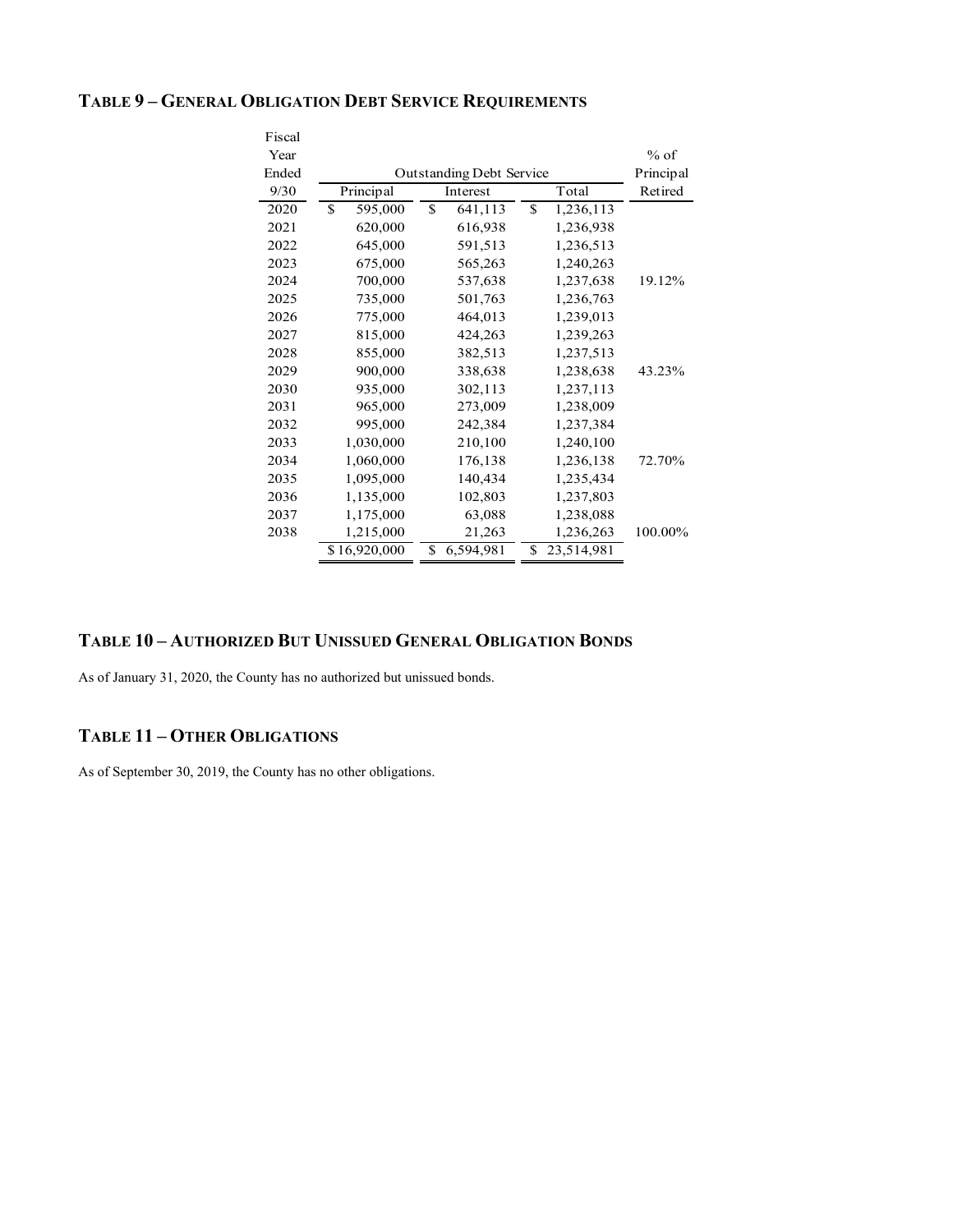#### **TABLE 9 – GENERAL OBLIGATION DEBT SERVICE REQUIREMENTS**

| Fiscal |                                 |                 |                  |         |
|--------|---------------------------------|-----------------|------------------|---------|
| Year   |                                 |                 |                  | $%$ of  |
| Ended  | <b>Outstanding Debt Service</b> | Principal       |                  |         |
| 9/30   | Principal                       | Interest        | Total            | Retired |
| 2020   | \$<br>595,000                   | \$<br>641,113   | \$<br>1,236,113  |         |
| 2021   | 620,000                         | 616,938         | 1,236,938        |         |
| 2022   | 645,000                         | 591,513         | 1,236,513        |         |
| 2023   | 675,000                         | 565,263         | 1,240,263        |         |
| 2024   | 700,000                         | 537,638         | 1,237,638        | 19.12%  |
| 2025   | 735,000                         | 501,763         | 1,236,763        |         |
| 2026   | 775,000                         | 464,013         | 1,239,013        |         |
| 2027   | 815,000                         | 424,263         | 1,239,263        |         |
| 2028   | 855,000                         | 382,513         | 1,237,513        |         |
| 2029   | 900,000                         | 338,638         | 1,238,638        | 43.23%  |
| 2030   | 935,000                         | 302,113         | 1,237,113        |         |
| 2031   | 965,000                         | 273,009         | 1,238,009        |         |
| 2032   | 995,000                         | 242,384         | 1,237,384        |         |
| 2033   | 1,030,000                       | 210,100         | 1,240,100        |         |
| 2034   | 1,060,000                       | 176,138         | 1,236,138        | 72.70%  |
| 2035   | 1,095,000                       | 140,434         | 1,235,434        |         |
| 2036   | 1,135,000                       | 102,803         | 1,237,803        |         |
| 2037   | 1,175,000                       | 63,088          | 1,238,088        |         |
| 2038   | 1,215,000                       | 21,263          | 1,236,263        | 100.00% |
|        | \$16,920,000                    | \$<br>6,594,981 | \$<br>23,514,981 |         |

#### **TABLE 10 – AUTHORIZED BUT UNISSUED GENERAL OBLIGATION BONDS**

As of January 31, 2020, the County has no authorized but unissued bonds.

#### **TABLE 11 – OTHER OBLIGATIONS**

As of September 30, 2019, the County has no other obligations.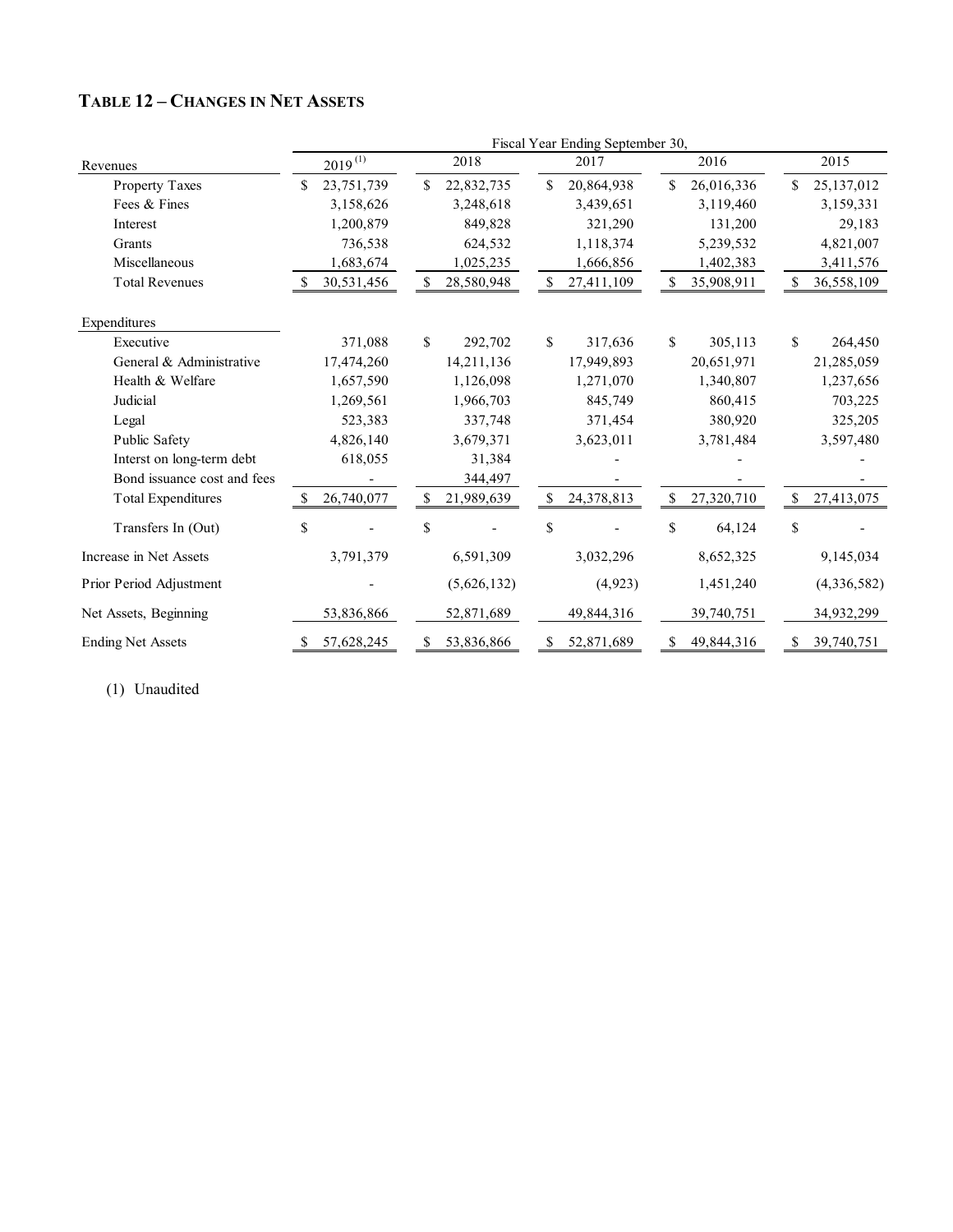|                             |                   |           |              |             |               | Fiscal Year Ending September 30, |              |            |              |             |
|-----------------------------|-------------------|-----------|--------------|-------------|---------------|----------------------------------|--------------|------------|--------------|-------------|
| Revenues                    | $2019^{(1)}$      |           |              | 2018        |               | 2017                             |              | 2016       |              | 2015        |
| Property Taxes              | \$<br>23,751,739  |           | \$           | 22,832,735  | \$            | 20,864,938                       | \$           | 26,016,336 | \$           | 25,137,012  |
| Fees & Fines                |                   | 3,158,626 |              | 3,248,618   |               | 3,439,651                        |              | 3,119,460  |              | 3,159,331   |
| Interest                    |                   | 1,200,879 |              | 849,828     |               | 321,290                          |              | 131,200    |              | 29,183      |
| Grants                      |                   | 736,538   |              | 624,532     |               | 1,118,374                        |              | 5,239,532  |              | 4,821,007   |
| Miscellaneous               |                   | 1,683,674 |              | 1,025,235   |               | 1,666,856                        |              | 1,402,383  |              | 3,411,576   |
| <b>Total Revenues</b>       | 30,531,456        |           | \$           | 28,580,948  | \$            | 27,411,109                       | \$           | 35,908,911 | \$           | 36,558,109  |
| Expenditures                |                   |           |              |             |               |                                  |              |            |              |             |
| Executive                   |                   | 371,088   | \$           | 292,702     | \$            | 317,636                          | $\mathbb{S}$ | 305,113    | $\mathbb{S}$ | 264,450     |
| General & Administrative    | 17,474,260        |           |              | 14,211,136  |               | 17,949,893                       |              | 20,651,971 |              | 21,285,059  |
| Health & Welfare            |                   | 1,657,590 |              | 1,126,098   |               | 1,271,070                        |              | 1,340,807  |              | 1,237,656   |
| Judicial                    | 1,269,561         |           |              | 1,966,703   |               | 845,749                          |              | 860,415    |              | 703,225     |
| Legal                       |                   | 523,383   |              | 337,748     |               | 371,454                          |              | 380,920    |              | 325,205     |
| Public Safety               | 4,826,140         |           |              | 3,679,371   |               | 3,623,011                        |              | 3,781,484  |              | 3,597,480   |
| Interst on long-term debt   |                   | 618,055   |              | 31,384      |               |                                  |              |            |              |             |
| Bond issuance cost and fees |                   |           |              | 344,497     |               |                                  |              |            |              |             |
| <b>Total Expenditures</b>   | 26,740,077<br>\$. |           | $\mathbb{S}$ | 21,989,639  | <sup>\$</sup> | 24,378,813                       | $\mathbf S$  | 27,320,710 | \$           | 27,413,075  |
| Transfers In (Out)          | \$                |           | \$           |             | \$            |                                  | \$           | 64,124     | \$           |             |
| Increase in Net Assets      | 3,791,379         |           |              | 6,591,309   |               | 3,032,296                        |              | 8,652,325  |              | 9,145,034   |
| Prior Period Adjustment     |                   |           |              | (5,626,132) |               | (4, 923)                         |              | 1,451,240  |              | (4,336,582) |
| Net Assets, Beginning       | 53,836,866        |           |              | 52,871,689  |               | 49,844,316                       |              | 39,740,751 |              | 34,932,299  |
| <b>Ending Net Assets</b>    | 57,628,245<br>\$  |           | $\mathbb{S}$ | 53,836,866  | \$            | 52,871,689                       | \$           | 49,844,316 | \$           | 39,740,751  |

## **TABLE 12 – CHANGES IN NET ASSETS**

(1) Unaudited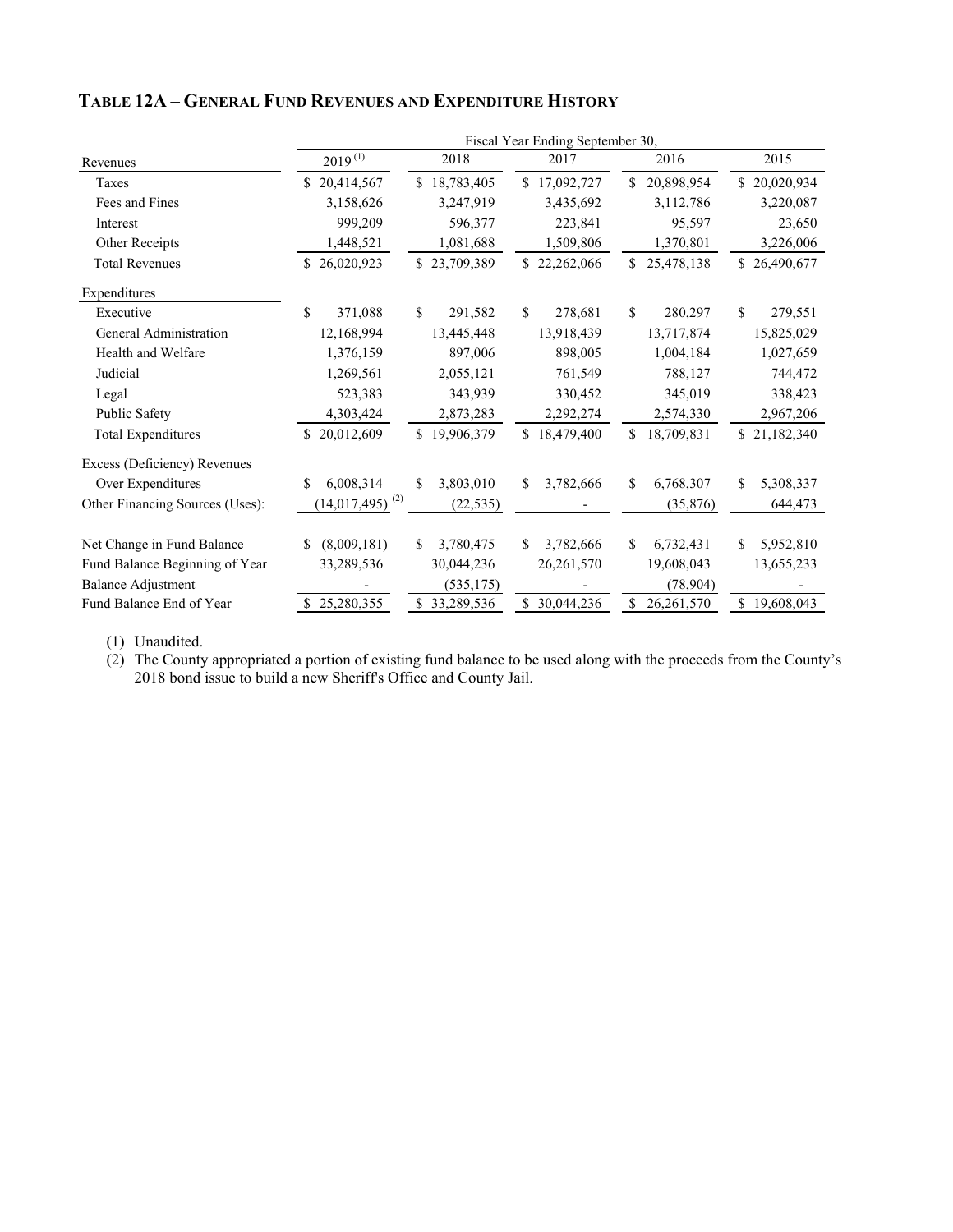|                                 |                                          |                   | Fiscal Year Ending September 30, |                  |                  |
|---------------------------------|------------------------------------------|-------------------|----------------------------------|------------------|------------------|
| Revenues                        | $2019^{(1)}$                             | 2018              | 2017                             | 2016             | 2015             |
| Taxes                           | \$20,414,567                             | \$18,783,405      | \$17,092,727                     | 20,898,954<br>\$ | \$20,020,934     |
| Fees and Fines                  | 3,158,626                                | 3,247,919         | 3,435,692                        | 3,112,786        | 3,220,087        |
| Interest                        | 999,209                                  | 596,377           | 223,841                          | 95,597           | 23,650           |
| Other Receipts                  | 1,448,521                                | 1,081,688         | 1,509,806                        | 1,370,801        | 3,226,006        |
| <b>Total Revenues</b>           | \$26,020,923                             | \$23,709,389      | \$22,262,066                     | 25,478,138<br>\$ | \$26,490,677     |
| Expenditures                    |                                          |                   |                                  |                  |                  |
| Executive                       | \$<br>371,088                            | \$<br>291,582     | $\mathcal{S}$<br>278,681         | \$<br>280,297    | \$<br>279,551    |
| General Administration          | 12,168,994                               | 13,445,448        | 13,918,439                       | 13,717,874       | 15,825,029       |
| Health and Welfare              | 1,376,159                                | 897,006           | 898,005                          | 1,004,184        | 1,027,659        |
| Judicial                        | 1,269,561                                | 2,055,121         | 761,549                          | 788,127          | 744,472          |
| Legal                           | 523,383                                  | 343,939           | 330,452                          | 345,019          | 338,423          |
| Public Safety                   | 4,303,424                                | 2,873,283         | 2,292,274                        | 2,574,330        | 2,967,206        |
| <b>Total Expenditures</b>       | 20,012,609                               | \$.<br>19,906,379 | \$18,479,400                     | 18,709,831<br>\$ | \$21,182,340     |
| Excess (Deficiency) Revenues    |                                          |                   |                                  |                  |                  |
| Over Expenditures               | 6,008,314<br>\$                          | 3,803,010<br>\$   | \$<br>3,782,666                  | \$<br>6,768,307  | \$<br>5,308,337  |
| Other Financing Sources (Uses): | $\left(14,017,495\right)$ <sup>(2)</sup> | (22, 535)         |                                  | (35,876)         | 644,473          |
| Net Change in Fund Balance      | (8,009,181)<br>\$.                       | 3,780,475<br>\$   | 3,782,666<br>\$.                 | \$<br>6,732,431  | 5,952,810<br>\$  |
| Fund Balance Beginning of Year  | 33,289,536                               | 30,044,236        | 26, 261, 570                     | 19,608,043       | 13,655,233       |
| <b>Balance Adjustment</b>       |                                          | (535, 175)        |                                  | (78,904)         |                  |
| Fund Balance End of Year        | 25,280,355                               | \$33,289,536      | 30,044,236<br>\$                 | 26,261,570<br>\$ | 19,608,043<br>\$ |

## **TABLE 12A – GENERAL FUND REVENUES AND EXPENDITURE HISTORY**

(1) Unaudited.

(2) The County appropriated a portion of existing fund balance to be used along with the proceeds from the County's 2018 bond issue to build a new Sheriff's Office and County Jail.